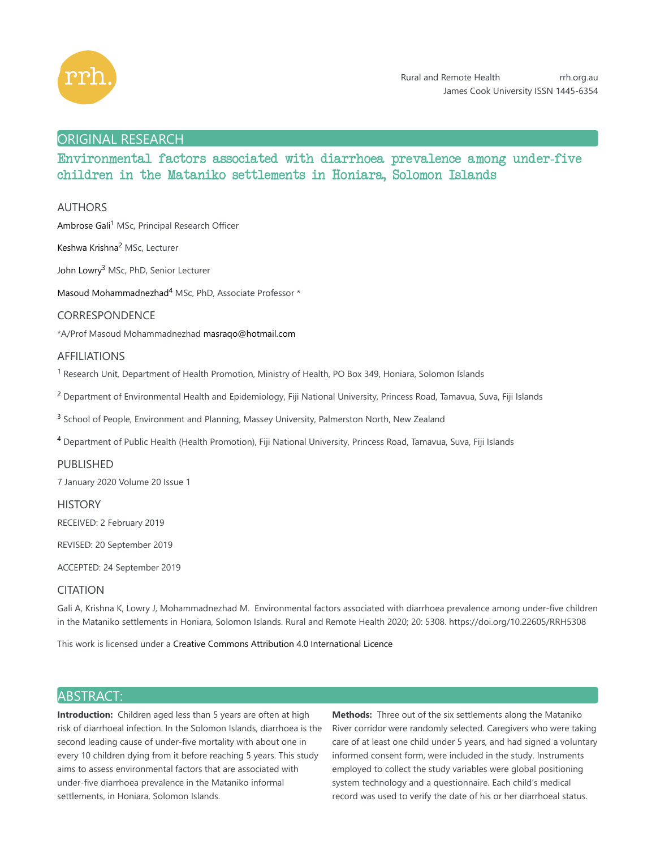

# ORIGINAL RESEARCH

# Environmental factors associated with diarrhoea prevalence among under-five children in the Mataniko settlements in Honiara, Solomon Islands

# AUTHORS

Ambrose Gali<sup>1</sup> MSc, Principal Research Officer

Keshwa Krishna<sup>2</sup> MSc, Lecturer

John Lowry<sup>3</sup> MSc, PhD, Senior Lecturer

Masoud Mohammadnezhad<sup>4</sup> MSc, PhD, Associate Professor \*

### CORRESPONDENCE

\*A/Prof Masoud Mohammadnezhad masraqo@hotmail.com

### AFFILIATIONS

<sup>1</sup> Research Unit, Department of Health Promotion, Ministry of Health, PO Box 349, Honiara, Solomon Islands

<sup>2</sup> Department of Environmental Health and Epidemiology, Fiji National University, Princess Road, Tamavua, Suva, Fiji Islands

<sup>3</sup> School of People, Environment and Planning, Massey University, Palmerston North, New Zealand

<sup>4</sup> Department of Public Health (Health Promotion), Fiji National University, Princess Road, Tamavua, Suva, Fiji Islands

### PUBLISHED

7 January 2020 Volume 20 Issue 1

**HISTORY** RECEIVED: 2 February 2019

REVISED: 20 September 2019

ACCEPTED: 24 September 2019

# CITATION

Gali A, Krishna K, Lowry J, Mohammadnezhad M. Environmental factors associated with diarrhoea prevalence among under-five children in the Mataniko settlements in Honiara, Solomon Islands. Rural and Remote Health 2020; 20: 5308. https://doi.org/10.22605/RRH5308

This work is licensed under a Creative Commons Attribution 4.0 International Licence

# ABSTRACT:

**Introduction:** Children aged less than 5 years are often at high risk of diarrhoeal infection. In the Solomon Islands, diarrhoea is the second leading cause of under-five mortality with about one in every 10 children dying from it before reaching 5 years. This study aims to assess environmental factors that are associated with under-five diarrhoea prevalence in the Mataniko informal settlements, in Honiara, Solomon Islands.

**Methods:** Three out of the six settlements along the Mataniko River corridor were randomly selected. Caregivers who were taking care of at least one child under 5 years, and had signed a voluntary informed consent form, were included in the study. Instruments employed to collect the study variables were global positioning system technology and a questionnaire. Each child's medical record was used to verify the date of his or her diarrhoeal status.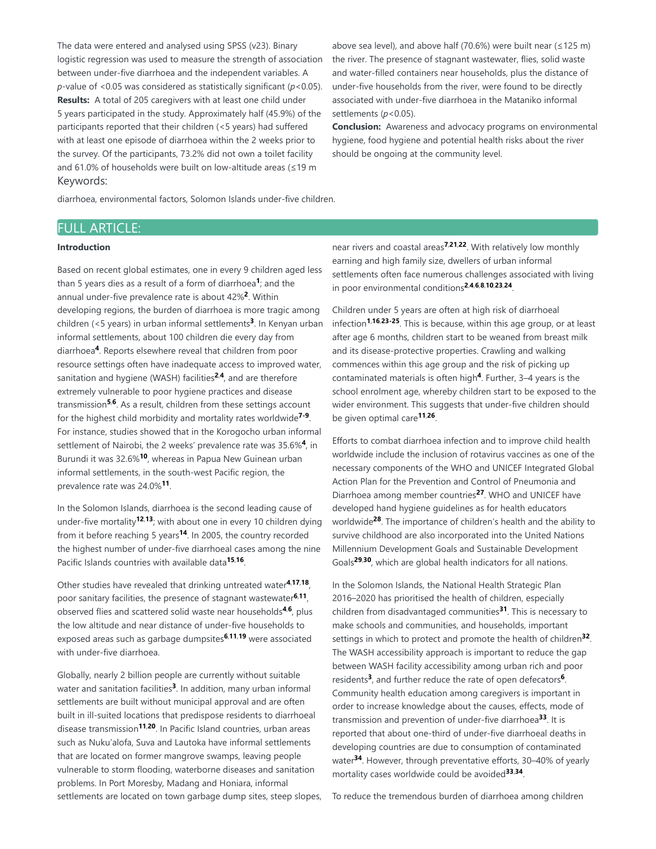The data were entered and analysed using SPSS (v23). Binary logistic regression was used to measure the strength of association between under-five diarrhoea and the independent variables. A *p*-value of <0.05 was considered as statistically significant (*p*<0.05). **Results:** A total of 205 caregivers with at least one child under 5 years participated in the study. Approximately half (45.9%) of the participants reported that their children (<5 years) had suffered with at least one episode of diarrhoea within the 2 weeks prior to the survey. Of the participants, 73.2% did not own a toilet facility and 61.0% of households were built on low-altitude areas (≤19 m Keywords:

above sea level), and above half (70.6%) were built near ( $\leq$ 125 m) the river. The presence of stagnant wastewater, flies, solid waste and water-filled containers near households, plus the distance of under-five households from the river, were found to be directly associated with under-five diarrhoea in the Mataniko informal settlements (p<0.05).

**Conclusion:** Awareness and advocacy programs on environmental hygiene, food hygiene and potential health risks about the river should be ongoing at the community level.

diarrhoea, environmental factors, Solomon Islands under-five children.

# FULL ARTICLE:

### **Introduction**

Based on recent global estimates, one in every 9 children aged less than 5 years dies as a result of a form of diarrhoea<sup>1</sup>; and the annual under-five prevalence rate is about 42%<sup>2</sup>. Within developing regions, the burden of diarrhoea is more tragic among children (<5 years) in urban informal settlements<sup>3</sup>. In Kenyan urban informal settlements, about 100 children die every day from diarrhoea<sup>4</sup>. Reports elsewhere reveal that children from poor resource settings often have inadequate access to improved water, sanitation and hygiene (WASH) facilities<sup>2,4</sup>, and are therefore extremely vulnerable to poor hygiene practices and disease transmission<sup>5,6</sup>. As a result, children from these settings account for the highest child morbidity and mortality rates worldwide<sup>7-9</sup>. For instance, studies showed that in the Korogocho urban informal settlement of Nairobi, the 2 weeks' prevalence rate was 35.6%<sup>4</sup>, in Burundi it was 32.6%<sup>10</sup>, whereas in Papua New Guinean urban informal settlements, in the south-west Pacific region, the prevalence rate was 24.0%<sup>11</sup>.

In the Solomon Islands, diarrhoea is the second leading cause of under-five mortality<sup>12,13</sup>; with about one in every 10 children dying from it before reaching 5 years<sup>14</sup>. In 2005, the country recorded the highest number of under-five diarrhoeal cases among the nine Pacific Islands countries with available data<sup>15,16</sup>.

Other studies have revealed that drinking untreated water<sup>4,17,18</sup>, poor sanitary facilities, the presence of stagnant wastewater<sup>6,11</sup>, observed flies and scattered solid waste near households<sup>4,6</sup>, plus the low altitude and near distance of under-five households to exposed areas such as garbage dumpsites<sup>6,11,19</sup> were associated with under-five diarrhoea.

Globally, nearly 2 billion people are currently without suitable water and sanitation facilities<sup>3</sup>. In addition, many urban informal settlements are built without municipal approval and are often built in ill-suited locations that predispose residents to diarrhoeal disease transmission<sup>11,20</sup>. In Pacific Island countries, urban areas such as Nuku'alofa, Suva and Lautoka have informal settlements that are located on former mangrove swamps, leaving people vulnerable to storm flooding, waterborne diseases and sanitation problems. In Port Moresby, Madang and Honiara, informal settlements are located on town garbage dump sites, steep slopes,

near rivers and coastal areas<sup>7,21,22</sup>. With relatively low monthly earning and high family size, dwellers of urban informal settlements often face numerous challenges associated with living in poor environmental conditions<sup>2,4,6,8,10,23,24</sup>.

Children under 5 years are often at high risk of diarrhoeal infection<sup>1,16,23-25</sup>. This is because, within this age group, or at least after age 6 months, children start to be weaned from breast milk and its disease-protective properties. Crawling and walking commences within this age group and the risk of picking up contaminated materials is often high<sup>4</sup>. Further, 3-4 years is the school enrolment age, whereby children start to be exposed to the wider environment. This suggests that under-five children should be given optimal care<sup>11,26</sup>.

Efforts to combat diarrhoea infection and to improve child health worldwide include the inclusion of rotavirus vaccines as one of the necessary components of the WHO and UNICEF Integrated Global Action Plan for the Prevention and Control of Pneumonia and Diarrhoea among member countries<sup>27</sup>. WHO and UNICEF have developed hand hygiene guidelines as for health educators worldwide<sup>28</sup>. The importance of children's health and the ability to survive childhood are also incorporated into the United Nations Millennium Development Goals and Sustainable Development Goals<sup>29,30</sup>, which are global health indicators for all nations.

In the Solomon Islands, the National Health Strategic Plan 2016–2020 has prioritised the health of children, especially children from disadvantaged communities<sup>31</sup>. This is necessary to make schools and communities, and households, important settings in which to protect and promote the health of children<sup>32</sup>. The WASH accessibility approach is important to reduce the gap between WASH facility accessibility among urban rich and poor residents<sup>3</sup>, and further reduce the rate of open defecators<sup>6</sup>. Community health education among caregivers is important in order to increase knowledge about the causes, effects, mode of transmission and prevention of under-five diarrhoea<sup>33</sup>. It is reported that about one-third of under-five diarrhoeal deaths in developing countries are due to consumption of contaminated water<sup>34</sup>. However, through preventative efforts, 30–40% of yearly mortality cases worldwide could be avoided<sup>33,34</sup>.

To reduce the tremendous burden of diarrhoea among children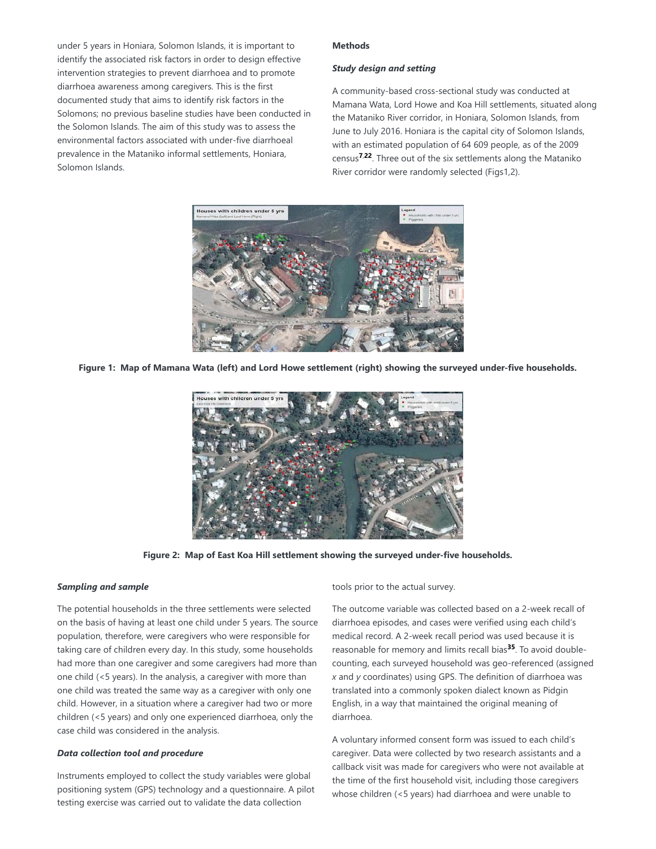under 5 years in Honiara, Solomon Islands, it is important to identify the associated risk factors in order to design effective intervention strategies to prevent diarrhoea and to promote diarrhoea awareness among caregivers. This is the first documented study that aims to identify risk factors in the Solomons; no previous baseline studies have been conducted in the Solomon Islands. The aim of this study was to assess the environmental factors associated with under-five diarrhoeal prevalence in the Mataniko informal settlements, Honiara, Solomon Islands.

#### **Methods**

#### *Study design and setting*

A community-based cross-sectional study was conducted at Mamana Wata, Lord Howe and Koa Hill settlements, situated along the Mataniko River corridor, in Honiara, Solomon Islands, from June to July 2016. Honiara is the capital city of Solomon Islands, with an estimated population of 64 609 people, as of the 2009 census<sup>7,22</sup>. Three out of the six settlements along the Mataniko River corridor were randomly selected (Figs1,2).



**Figure 1: Map of Mamana Wata (left) and Lord Howe settlement (right) showing the surveyed under-five households.**



**Figure 2: Map of East Koa Hill settlement showing the surveyed under-five households.**

#### *Sampling and sample*

The potential households in the three settlements were selected on the basis of having at least one child under 5 years. The source population, therefore, were caregivers who were responsible for taking care of children every day. In this study, some households had more than one caregiver and some caregivers had more than one child (<5 years). In the analysis, a caregiver with more than one child was treated the same way as a caregiver with only one child. However, in a situation where a caregiver had two or more children (<5 years) and only one experienced diarrhoea, only the case child was considered in the analysis.

#### *Data collection tool and procedure*

Instruments employed to collect the study variables were global positioning system (GPS) technology and a questionnaire. A pilot testing exercise was carried out to validate the data collection

tools prior to the actual survey.

The outcome variable was collected based on a 2-week recall of diarrhoea episodes, and cases were verified using each child's medical record. A 2-week recall period was used because it is reasonable for memory and limits recall bias<sup>35</sup>. To avoid doublecounting, each surveyed household was geo-referenced (assigned *x* and *y* coordinates) using GPS. The definition of diarrhoea was translated into a commonly spoken dialect known as Pidgin English, in a way that maintained the original meaning of diarrhoea.

A voluntary informed consent form was issued to each child's caregiver. Data were collected by two research assistants and a callback visit was made for caregivers who were not available at the time of the first household visit, including those caregivers whose children (<5 years) had diarrhoea and were unable to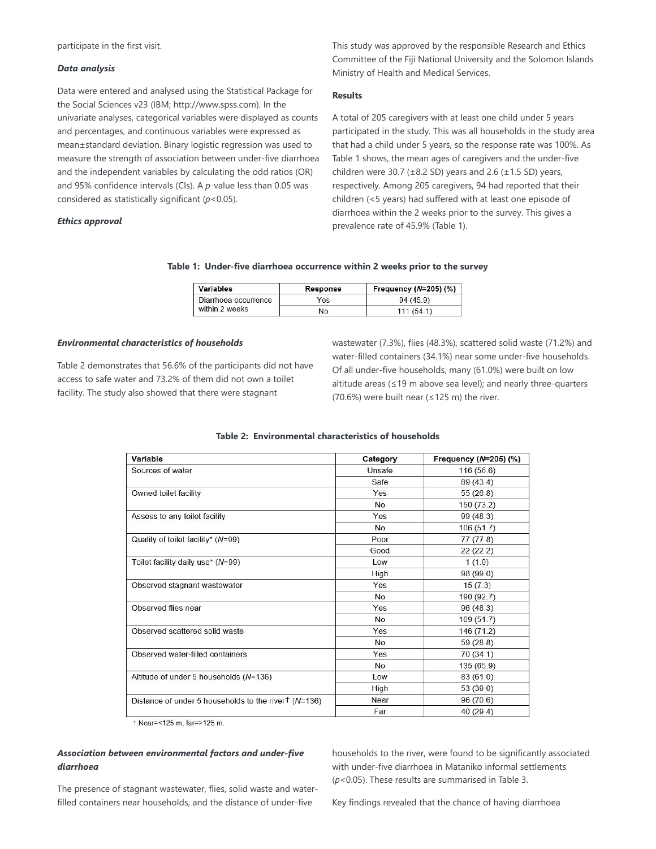participate in the first visit.

#### *Data analysis*

Data were entered and analysed using the Statistical Package for the Social Sciences v23 (IBM; http://www.spss.com). In the univariate analyses, categorical variables were displayed as counts and percentages, and continuous variables were expressed as mean±standard deviation. Binary logistic regression was used to measure the strength of association between under-five diarrhoea and the independent variables by calculating the odd ratios (OR) and 95% confidence intervals (CIs). A *p*-value less than 0.05 was considered as statistically significant (*p*<0.05).

#### *Ethics approval*

This study was approved by the responsible Research and Ethics Committee of the Fiji National University and the Solomon Islands Ministry of Health and Medical Services.

#### **Results**

A total of 205 caregivers with at least one child under 5 years participated in the study. This was all households in the study area that had a child under 5 years, so the response rate was 100%. As Table 1 shows, the mean ages of caregivers and the under-five children were 30.7 ( $\pm$ 8.2 SD) years and 2.6 ( $\pm$ 1.5 SD) years, respectively. Among 205 caregivers, 94 had reported that their children (<5 years) had suffered with at least one episode of diarrhoea within the 2 weeks prior to the survey. This gives a prevalence rate of 45.9% (Table 1).

#### **Table 1: Under-five diarrhoea occurrence within 2 weeks prior to the survey**

| Variables                              | Response | Frequency $(N=205)$ $(\%)$ |  |
|----------------------------------------|----------|----------------------------|--|
| Diarrhoea occurrence<br>within 2 weeks | Yes      | 94(45.9)                   |  |
|                                        | No       | 111(541)                   |  |

#### *Environmental characteristics of households*

Table 2 demonstrates that 56.6% of the participants did not have access to safe water and 73.2% of them did not own a toilet facility. The study also showed that there were stagnant

wastewater (7.3%), flies (48.3%), scattered solid waste (71.2%) and water-filled containers (34.1%) near some under-five households. Of all under-five households, many (61.0%) were built on low altitude areas (≤19 m above sea level); and nearly three-quarters (70.6%) were built near ( $\leq$ 125 m) the river.

| Variable                                              | Category  | Frequency $(N=205)$ (%) |  |
|-------------------------------------------------------|-----------|-------------------------|--|
| Sources of water                                      | Unsafe    | 116 (56.6)              |  |
|                                                       | Safe      | 89 (43.4)               |  |
| Owned toilet facility                                 | Yes       | 55(26.8)                |  |
|                                                       | <b>No</b> | 150 (73.2)              |  |
| Assess to any toilet facility                         | Yes       | 99(48.3)                |  |
|                                                       | <b>No</b> | 106(51.7)               |  |
| Quality of toilet facility* (N=99)                    | Poor      | 77 (77.8)               |  |
|                                                       | Good      | 22(22.2)                |  |
| Toilet facility daily use* (N=99)                     | Low       | 1(1.0)                  |  |
|                                                       | High      | 98 (99.0)               |  |
| Observed stagnant wastewater                          | Yes       | 15(7.3)                 |  |
|                                                       | <b>No</b> | 190 (92.7)              |  |
| Observed flies near                                   | Yes       | 96(48.3)                |  |
|                                                       | <b>No</b> | 109(51.7)               |  |
| Observed scattered solid waste                        | Yes       | 146 (71.2)              |  |
|                                                       | <b>No</b> | 59(28.8)                |  |
| Observed water-filled containers                      | Yes       | 70 (34.1)               |  |
|                                                       | <b>No</b> | 135 (65.9)              |  |
| Altitude of under 5 households (N=136)                | Low       | 83 (61.0)               |  |
|                                                       | High      | 53(39.0)                |  |
| Distance of under 5 households to the river $(N=136)$ | Near      | 96 (70.6)               |  |
|                                                       | Far       | 40(29.4)                |  |

### **Table 2: Environmental characteristics of households**

+ Near=<125 m; far=>125 m.

## *Association between environmental factors and under-five diarrhoea*

The presence of stagnant wastewater, flies, solid waste and waterfilled containers near households, and the distance of under-five

households to the river, were found to be significantly associated with under-five diarrhoea in Mataniko informal settlements (*p*<0.05). These results are summarised in Table 3.

Key findings revealed that the chance of having diarrhoea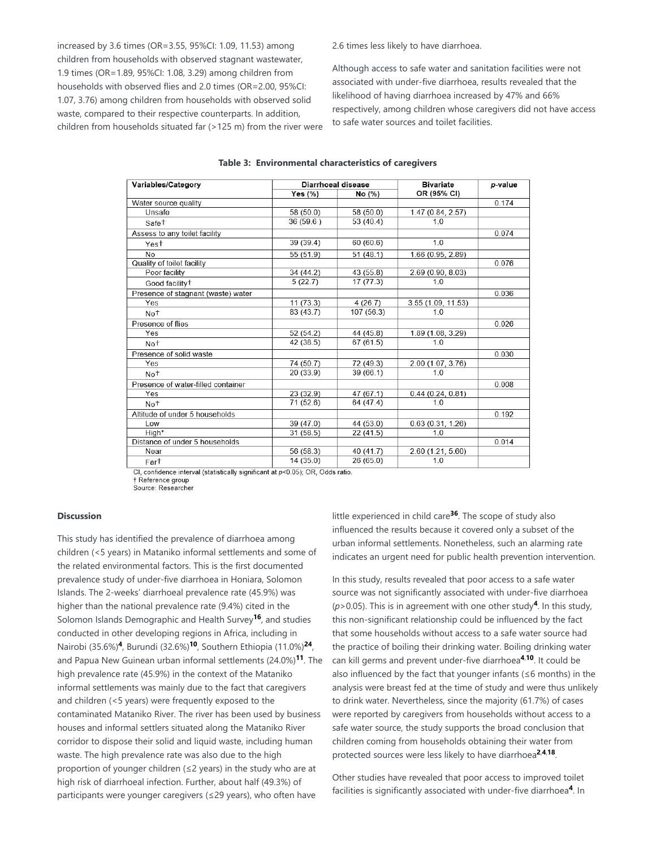increased by 3.6 times (OR=3.55, 95%CI: 1.09, 11.53) among children from households with observed stagnant wastewater, 1.9 times (OR=1.89, 95%CI: 1.08, 3.29) among children from households with observed flies and 2.0 times (OR=2.00, 95%CI: 1.07, 3.76) among children from households with observed solid waste, compared to their respective counterparts. In addition, children from households situated far (>125 m) from the river were 2.6 times less likely to have diarrhoea.

Although access to safe water and sanitation facilities were not associated with under-five diarrhoea, results revealed that the likelihood of having diarrhoea increased by 47% and 66% respectively, among children whose caregivers did not have access to safe water sources and toilet facilities.

| Variables/Category                 | Diarrhoeal disease |           | <b>Bivariate</b>   | p-value |
|------------------------------------|--------------------|-----------|--------------------|---------|
|                                    | Yes $(%)$          | No(%)     | OR (95% CI)        |         |
| Water source quality               |                    |           |                    | 0.174   |
| Unsafe                             | 58 (50.0)          | 58 (50.0) | 1.47(0.84, 2.57)   |         |
| Safe <sup>+</sup>                  | 36 (59.6)          | 53(40.4)  | 1.0                |         |
| Assess to any toilet facility      |                    |           |                    | 0.074   |
| Yes <sup>t</sup>                   | 39(39.4)           | 60(60.6)  | 1.0                |         |
| No                                 | 55 (51.9)          | 51(48.1)  | 1.66 (0.95, 2.89)  |         |
| Quality of toilet facility         |                    |           |                    | 0.076   |
| Poor facility                      | 34(44.2)           | 43 (55.8) | 2.69(0.90, 8.03)   |         |
| Good facility <sup>+</sup>         | 5(22.7)            | 17(77.3)  | 1 <sub>0</sub>     |         |
| Presence of stagnant (waste) water |                    |           |                    | 0.036   |
| Yes                                | 11(73.3)           | 4(26.7)   | 3.55 (1.09, 11.53) |         |
| No <sup>t</sup>                    | 83(43.7)           | 107(56.3) | 1.0                |         |
| Presence of flies                  |                    |           |                    | 0.026   |
| Yes                                | 52(54.2)           | 44 (45.8) | 1.89 (1.08, 3.29)  |         |
| No <sup>t</sup>                    | 42(38.5)           | 67(61.5)  | 1.0                |         |
| Presence of solid waste            |                    |           |                    | 0.030   |
| Yes                                | 74 (50.7)          | 72 (49.3) | 2.00 (1.07, 3.76)  |         |
| Not                                | 20(33.9)           | 39(66.1)  | 10                 |         |
| Presence of water-filled container |                    |           |                    | 0.008   |
| Yes                                | 23(32.9)           | 47(67.1)  | 0.44(0.24, 0.81)   |         |
| No <sup>t</sup>                    | 71(52.6)           | 64 (47.4) | 1.0                |         |
| Altitude of under 5 households     |                    |           |                    | 0.192   |
| Low                                | 39(47.0)           | 44 (53.0) | 0.63(0.31, 1.26)   |         |
| High <sup>+</sup>                  | 31(58.5)           | 22(41.5)  | 1.0                |         |
| Distance of under 5 households     |                    |           |                    | 0.014   |
| Near                               | 56 (58.3)          | 40(41.7)  | 2.60(1.21, 5.60)   |         |
| Far <sup>†</sup>                   | 14(35.0)           | 26(65.0)  | 10                 |         |

#### **Table 3: Environmental characteristics of caregivers**

CI, confidence interval (statistically significant at p<0.05); OR, Odds ratio. † Reference group Source: Researcher

#### **Discussion**

This study has identified the prevalence of diarrhoea among children (<5 years) in Mataniko informal settlements and some of the related environmental factors. This is the first documented prevalence study of under-five diarrhoea in Honiara, Solomon Islands. The 2-weeks' diarrhoeal prevalence rate (45.9%) was higher than the national prevalence rate (9.4%) cited in the Solomon Islands Demographic and Health Survey<sup>16</sup>, and studies conducted in other developing regions in Africa, including in Nairobi (35.6%)<sup>4</sup>, Burundi (32.6%)<sup>10</sup>, Southern Ethiopia (11.0%)<sup>24</sup>, and Papua New Guinean urban informal settlements (24.0%)<sup>11</sup>. The high prevalence rate (45.9%) in the context of the Mataniko informal settlements was mainly due to the fact that caregivers and children (<5 years) were frequently exposed to the contaminated Mataniko River. The river has been used by business houses and informal settlers situated along the Mataniko River corridor to dispose their solid and liquid waste, including human waste. The high prevalence rate was also due to the high proportion of younger children (≤2 years) in the study who are at high risk of diarrhoeal infection. Further, about half (49.3%) of participants were younger caregivers (≤29 years), who often have

little experienced in child care<sup>36</sup>. The scope of study also influenced the results because it covered only a subset of the urban informal settlements. Nonetheless, such an alarming rate indicates an urgent need for public health prevention intervention.

In this study, results revealed that poor access to a safe water source was not significantly associated with under-five diarrhoea ( $p$  > 0.05). This is in agreement with one other study<sup>4</sup>. In this study, this non-significant relationship could be influenced by the fact that some households without access to a safe water source had the practice of boiling their drinking water. Boiling drinking water can kill germs and prevent under-five diarrhoea<sup>4,10</sup>. It could be also influenced by the fact that younger infants ( $\leq$ 6 months) in the analysis were breast fed at the time of study and were thus unlikely to drink water. Nevertheless, since the majority (61.7%) of cases were reported by caregivers from households without access to a safe water source, the study supports the broad conclusion that children coming from households obtaining their water from protected sources were less likely to have diarrhoea<sup>2,4,18</sup>.

Other studies have revealed that poor access to improved toilet facilities is significantly associated with under-five diarrhoea<sup>4</sup>. In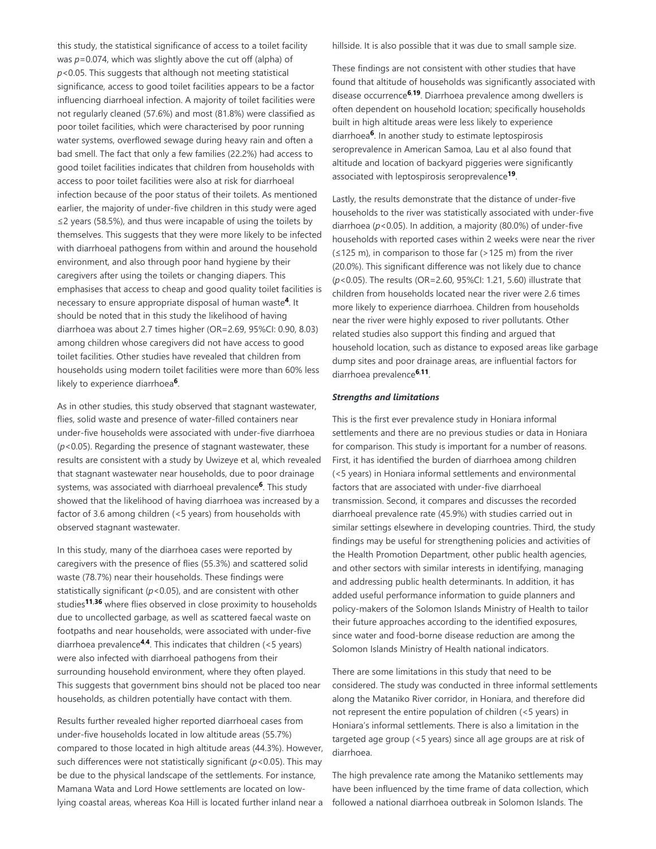this study, the statistical significance of access to a toilet facility was *p*=0.074, which was slightly above the cut off (alpha) of *p*<0.05. This suggests that although not meeting statistical significance, access to good toilet facilities appears to be a factor influencing diarrhoeal infection. A majority of toilet facilities were not regularly cleaned (57.6%) and most (81.8%) were classified as poor toilet facilities, which were characterised by poor running water systems, overflowed sewage during heavy rain and often a bad smell. The fact that only a few families (22.2%) had access to good toilet facilities indicates that children from households with access to poor toilet facilities were also at risk for diarrhoeal infection because of the poor status of their toilets. As mentioned earlier, the majority of under-five children in this study were aged ≤2 years (58.5%), and thus were incapable of using the toilets by themselves. This suggests that they were more likely to be infected with diarrhoeal pathogens from within and around the household environment, and also through poor hand hygiene by their caregivers after using the toilets or changing diapers. This emphasises that access to cheap and good quality toilet facilities is necessary to ensure appropriate disposal of human waste<sup>4</sup>. It should be noted that in this study the likelihood of having diarrhoea was about 2.7 times higher (OR=2.69, 95%CI: 0.90, 8.03) among children whose caregivers did not have access to good toilet facilities. Other studies have revealed that children from households using modern toilet facilities were more than 60% less likely to experience diarrhoea<sup>6</sup>.

As in other studies, this study observed that stagnant wastewater, flies, solid waste and presence of water-filled containers near under-five households were associated with under-five diarrhoea (*p*<0.05). Regarding the presence of stagnant wastewater, these results are consistent with a study by Uwizeye et al, which revealed that stagnant wastewater near households, due to poor drainage systems, was associated with diarrhoeal prevalence<sup>6</sup>. This study showed that the likelihood of having diarrhoea was increased by a factor of 3.6 among children (<5 years) from households with observed stagnant wastewater.

In this study, many of the diarrhoea cases were reported by caregivers with the presence of flies (55.3%) and scattered solid waste (78.7%) near their households. These findings were statistically significant (*p*<0.05), and are consistent with other studies<sup>11,36</sup> where flies observed in close proximity to households due to uncollected garbage, as well as scattered faecal waste on footpaths and near households, were associated with under-five diarrhoea prevalence<sup>4,4</sup>. This indicates that children (<5 years) were also infected with diarrhoeal pathogens from their surrounding household environment, where they often played. This suggests that government bins should not be placed too near households, as children potentially have contact with them.

Results further revealed higher reported diarrhoeal cases from under-five households located in low altitude areas (55.7%) compared to those located in high altitude areas (44.3%). However, such differences were not statistically significant (*p*<0.05). This may be due to the physical landscape of the settlements. For instance, Mamana Wata and Lord Howe settlements are located on lowlying coastal areas, whereas Koa Hill is located further inland near a hillside. It is also possible that it was due to small sample size.

These findings are not consistent with other studies that have found that altitude of households was significantly associated with disease occurrence<sup>6,19</sup>. Diarrhoea prevalence among dwellers is often dependent on household location; specifically households built in high altitude areas were less likely to experience diarrhoea<sup>6</sup>. In another study to estimate leptospirosis seroprevalence in American Samoa, Lau et al also found that altitude and location of backyard piggeries were significantly associated with leptospirosis seroprevalence<sup>19</sup>.

Lastly, the results demonstrate that the distance of under-five households to the river was statistically associated with under-five diarrhoea (*p*<0.05). In addition, a majority (80.0%) of under-five households with reported cases within 2 weeks were near the river (≤125 m), in comparison to those far (>125 m) from the river (20.0%). This significant difference was not likely due to chance (*p*<0.05). The results (OR=2.60, 95%CI: 1.21, 5.60) illustrate that children from households located near the river were 2.6 times more likely to experience diarrhoea. Children from households near the river were highly exposed to river pollutants. Other related studies also support this finding and argued that household location, such as distance to exposed areas like garbage dump sites and poor drainage areas, are influential factors for diarrhoea prevalence<sup>6,11</sup>.

#### *Strengths and limitations*

This is the first ever prevalence study in Honiara informal settlements and there are no previous studies or data in Honiara for comparison. This study is important for a number of reasons. First, it has identified the burden of diarrhoea among children (<5 years) in Honiara informal settlements and environmental factors that are associated with under-five diarrhoeal transmission. Second, it compares and discusses the recorded diarrhoeal prevalence rate (45.9%) with studies carried out in similar settings elsewhere in developing countries. Third, the study findings may be useful for strengthening policies and activities of the Health Promotion Department, other public health agencies, and other sectors with similar interests in identifying, managing and addressing public health determinants. In addition, it has added useful performance information to guide planners and policy-makers of the Solomon Islands Ministry of Health to tailor their future approaches according to the identified exposures, since water and food-borne disease reduction are among the Solomon Islands Ministry of Health national indicators.

There are some limitations in this study that need to be considered. The study was conducted in three informal settlements along the Mataniko River corridor, in Honiara, and therefore did not represent the entire population of children (<5 years) in Honiara's informal settlements. There is also a limitation in the targeted age group (<5 years) since all age groups are at risk of diarrhoea.

The high prevalence rate among the Mataniko settlements may have been influenced by the time frame of data collection, which followed a national diarrhoea outbreak in Solomon Islands. The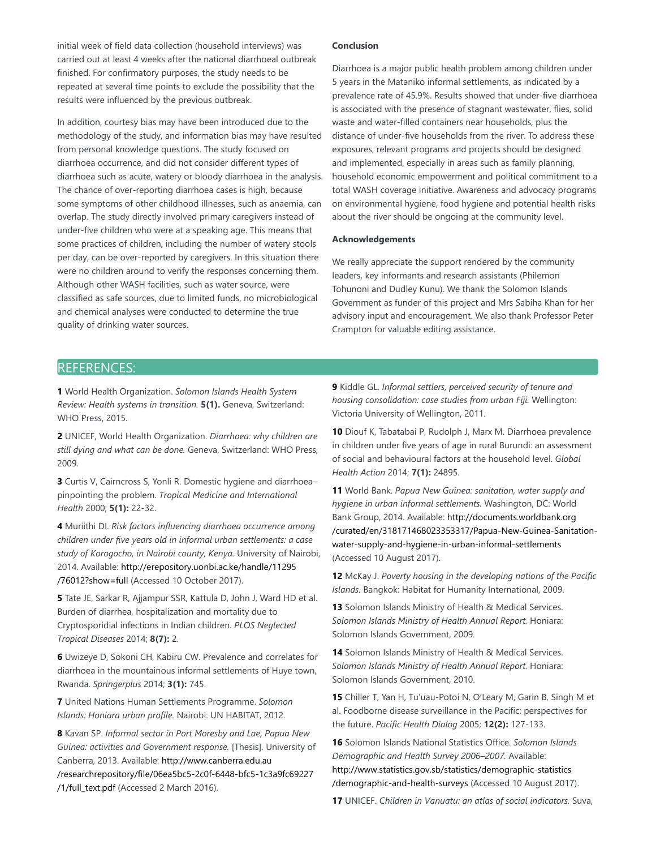initial week of field data collection (household interviews) was carried out at least 4 weeks after the national diarrhoeal outbreak finished. For confirmatory purposes, the study needs to be repeated at several time points to exclude the possibility that the results were influenced by the previous outbreak.

In addition, courtesy bias may have been introduced due to the methodology of the study, and information bias may have resulted from personal knowledge questions. The study focused on diarrhoea occurrence, and did not consider different types of diarrhoea such as acute, watery or bloody diarrhoea in the analysis. The chance of over-reporting diarrhoea cases is high, because some symptoms of other childhood illnesses, such as anaemia, can overlap. The study directly involved primary caregivers instead of under-five children who were at a speaking age. This means that some practices of children, including the number of watery stools per day, can be over-reported by caregivers. In this situation there were no children around to verify the responses concerning them. Although other WASH facilities, such as water source, were classified as safe sources, due to limited funds, no microbiological and chemical analyses were conducted to determine the true quality of drinking water sources.

### **Conclusion**

Diarrhoea is a major public health problem among children under 5 years in the Mataniko informal settlements, as indicated by a prevalence rate of 45.9%. Results showed that under-five diarrhoea is associated with the presence of stagnant wastewater, flies, solid waste and water-filled containers near households, plus the distance of under-five households from the river. To address these exposures, relevant programs and projects should be designed and implemented, especially in areas such as family planning, household economic empowerment and political commitment to a total WASH coverage initiative. Awareness and advocacy programs on environmental hygiene, food hygiene and potential health risks about the river should be ongoing at the community level.

#### **Acknowledgements**

We really appreciate the support rendered by the community leaders, key informants and research assistants (Philemon Tohunoni and Dudley Kunu). We thank the Solomon Islands Government as funder of this project and Mrs Sabiha Khan for her advisory input and encouragement. We also thank Professor Peter Crampton for valuable editing assistance.

# REFERENCES:

**1** World Health Organization. *Solomon Islands Health System Review: Health systems in transition.* **5(1).** Geneva, Switzerland: WHO Press, 2015.

**2** UNICEF, World Health Organization. *Diarrhoea: why children are still dying and what can be done.* Geneva, Switzerland: WHO Press, 2009.

**3** Curtis V, Cairncross S, Yonli R. Domestic hygiene and diarrhoeapinpointing the problem. *Tropical Medicine and International Health* 2000; **5(1):** 22-32.

**4** Muriithi DI. *Risk factors influencing diarrhoea occurrence among children under five years old in informal urban settlements: a case study of Korogocho, in Nairobi county, Kenya.* University of Nairobi, 2014. Available: http://erepository.uonbi.ac.ke/handle/11295 /76012?show=full (Accessed 10 October 2017).

**5** Tate JE, Sarkar R, Ajjampur SSR, Kattula D, John J, Ward HD et al. Burden of diarrhea, hospitalization and mortality due to Cryptosporidial infections in Indian children. *PLOS Neglected Tropical Diseases* 2014; **8(7):** 2.

**6** Uwizeye D, Sokoni CH, Kabiru CW. Prevalence and correlates for diarrhoea in the mountainous informal settlements of Huye town, Rwanda. *Springerplus* 2014; **3(1):** 745.

**7** United Nations Human Settlements Programme. *Solomon Islands: Honiara urban profile.* Nairobi: UN HABITAT, 2012.

**8** Kavan SP. *Informal sector in Port Moresby and Lae, Papua New Guinea: activities and Government response.* [Thesis]. University of Canberra, 2013. Available: http://www.canberra.edu.au /researchrepository/file/06ea5bc5-2c0f-6448-bfc5-1c3a9fc69227 /1/full\_text.pdf (Accessed 2 March 2016).

**9** Kiddle GL. *Informal settlers, perceived security of tenure and housing consolidation: case studies from urban Fiji.* Wellington: Victoria University of Wellington, 2011.

**10** Diouf K, Tabatabai P, Rudolph J, Marx M. Diarrhoea prevalence in children under five years of age in rural Burundi: an assessment of social and behavioural factors at the household level. *Global Health Action* 2014; **7(1):** 24895.

**11** World Bank. *Papua New Guinea: sanitation, water supply and hygiene in urban informal settlements.* Washington, DC: World Bank Group, 2014. Available: http://documents.worldbank.org /curated/en/318171468023353317/Papua-New-Guinea-Sanitationwater-supply-and-hygiene-in-urban-informal-settlements (Accessed 10 August 2017).

**12** McKay J. *Poverty housing in the developing nations of the Pacific Islands.* Bangkok: Habitat for Humanity International, 2009.

**13** Solomon Islands Ministry of Health & Medical Services. *Solomon Islands Ministry of Health Annual Report.* Honiara: Solomon Islands Government, 2009.

**14** Solomon Islands Ministry of Health & Medical Services. *Solomon Islands Ministry of Health Annual Report.* Honiara: Solomon Islands Government, 2010.

**15** Chiller T, Yan H, Tu'uau-Potoi N, O'Leary M, Garin B, Singh M et al. Foodborne disease surveillance in the Pacific: perspectives for the future. *Pacific Health Dialog* 2005; **12(2):** 127-133.

**16** Solomon Islands National Statistics Office. *Solomon Islands Demographic and Health Survey 2006–2007.* Available: http://www.statistics.gov.sb/statistics/demographic-statistics /demographic-and-health-surveys (Accessed 10 August 2017).

**17** UNICEF. *Children in Vanuatu: an atlas of social indicators.* Suva,